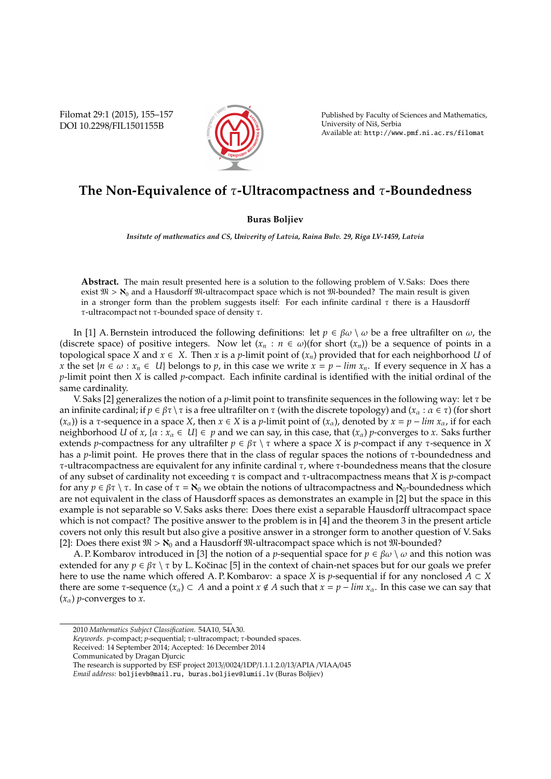Filomat 29:1 (2015), 155–157 DOI 10.2298/FIL1501155B



Published by Faculty of Sciences and Mathematics, University of Niš, Serbia Available at: http://www.pmf.ni.ac.rs/filomat

## **The Non-Equivalence of** τ**-Ultracompactness and** τ**-Boundedness**

## **Buras Boljiev**

*Insitute of mathematics and CS, Univerity of Latvia, Raina Bulv. 29, Riga LV-1459, Latvia*

**Abstract.** The main result presented here is a solution to the following problem of V. Saks: Does there exist  $\mathfrak{M} > \mathcal{N}_0$  and a Hausdorff  $\mathfrak{M}$ -ultracompact space which is not  $\mathfrak{M}$ -bounded? The main result is given in a stronger form than the problem suggests itself: For each infinite cardinal  $\tau$  there is a Hausdorff τ-ultracompact not τ-bounded space of density τ.

In [1] A. Bernstein introduced the following definitions: let  $p \in \beta \omega \setminus \omega$  be a free ultrafilter on  $\omega$ , the (discrete space) of positive integers. Now let  $(x_n : n \in \omega)$  (for short  $(x_n)$ ) be a sequence of points in a topological space *X* and  $x \in X$ . Then *x* is a *p*-limit point of  $(x_n)$  provided that for each neighborhood *U* of *x* the set { $n \in \omega : x_n \in U$ } belongs to *p*, in this case we write  $x = p - \lim x_n$ . If every sequence in *X* has a *p*-limit point then *X* is called *p*-compact. Each infinite cardinal is identified with the initial ordinal of the same cardinality.

V. Saks [2] generalizes the notion of a *p*-limit point to transfinite sequences in the following way: let  $\tau$  be an infinite cardinal; if  $p \in \beta \tau \setminus \tau$  is a free ultrafilter on  $\tau$  (with the discrete topology) and  $(x_\alpha : \alpha \in \tau)$  (for short  $(x_{\alpha})$ ) is a *τ*-sequence in a space *X*, then  $x \in X$  is a *p*-limit point of  $(x_{\alpha})$ , denoted by  $x = p - \lim x_{\alpha}$ , if for each neighborhood *U* of *x*, { $\alpha$  :  $x_\alpha \in U$ }  $\in$  *p* and we can say, in this case, that  $(x_\alpha)$  *p*-converges to *x*. Saks further extends *p*-compactness for any ultrafilter  $p \in \beta \tau \setminus \tau$  where a space *X* is *p*-compact if any  $\tau$ -sequence in *X* has a *p*-limit point. He proves there that in the class of regular spaces the notions of τ-boundedness and τ-ultracompactness are equivalent for any infinite cardinal τ, where τ-boundedness means that the closure of any subset of cardinality not exceeding τ is compact and τ-ultracompactness means that *X* is *p*-compact for any  $p \in \beta\tau \setminus \tau$ . In case of  $\tau = \mathbf{N}_0$  we obtain the notions of ultracompactness and  $\mathbf{N}_0$ -boundedness which are not equivalent in the class of Hausdorff spaces as demonstrates an example in [2] but the space in this example is not separable so V. Saks asks there: Does there exist a separable Hausdorff ultracompact space which is not compact? The positive answer to the problem is in [4] and the theorem 3 in the present article covers not only this result but also give a positive answer in a stronger form to another question of V. Saks [2]: Does there exist  $\mathfrak{M} > \aleph_0$  and a Hausdorff  $\mathfrak{M}$ -ultracompact space which is not  $\mathfrak{M}$ -bounded?

A. P. Kombarov introduced in [3] the notion of a *p*-sequential space for  $p \in \beta \omega \setminus \omega$  and this notion was extended for any  $p \in \beta \tau \setminus \tau$  by L. Kočinac [5] in the context of chain-net spaces but for our goals we prefer here to use the name which offered A. P. Kombarov: a space *X* is *p*-sequential if for any nonclosed *A* ⊂ *X* there are some  $\tau$ -sequence  $(x_\alpha) \subset A$  and a point  $x \notin A$  such that  $x = p - \lim x_\alpha$ . In this case we can say that  $(x_{\alpha})$  *p*-converges to *x*.

*Keywords*. *p*-compact; *p*-sequential; τ-ultracompact; τ-bounded spaces.

Received: 14 September 2014; Accepted: 16 December 2014

Communicated by Dragan Djurcic

The research is supported by ESF project 2013//0024/1DP/1.1.1.2.0/13/APIA /VIAA/045

<sup>2010</sup> *Mathematics Subject Classification*. 54A10, 54A30.

*Email address:* boljievb@mail.ru, buras.boljiev@lumii.lv (Buras Boljiev)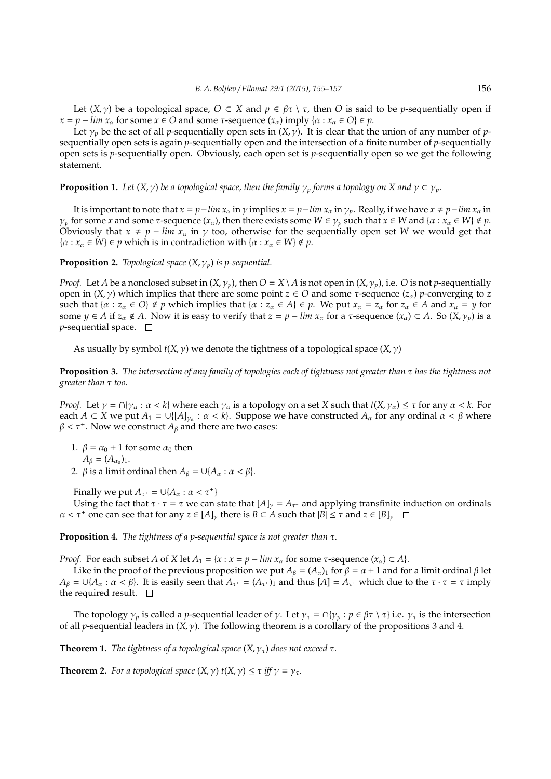Let  $(X, \gamma)$  be a topological space,  $O \subset X$  and  $p \in \beta \tau \setminus \tau$ , then *O* is said to be *p*-sequentially open if  $x = p - \lim_{\alpha} x_{\alpha}$  for some  $x \in O$  and some *τ*-sequence  $(x_{\alpha})$  imply  $\{\alpha : x_{\alpha} \in O\} \in p$ .

Let  $\gamma_p$  be the set of all *p*-sequentially open sets in  $(X, \gamma)$ . It is clear that the union of any number of *p*sequentially open sets is again *p*-sequentially open and the intersection of a finite number of *p*-sequentially open sets is *p*-sequentially open. Obviously, each open set is *p*-sequentially open so we get the following statement.

**Proposition 1.** *Let*  $(X, \gamma)$  *be a topological space, then the family*  $\gamma_p$  *forms a topology on* X *and*  $\gamma \subset \gamma_p$ *.* 

It is important to note that  $x = p - \lim x_\alpha$  in  $\gamma$  implies  $x = p - \lim x_\alpha$  in  $\gamma_p$ . Really, if we have  $x \neq p - \lim x_\alpha$  in *γ*<sub>*p*</sub> for some *x* and some *τ*-sequence  $(x<sub>α</sub>)$ , then there exists some  $W \in \gamma_p$  such that  $x \in W$  and  $\{a : x<sub>α</sub> \in W\} \notin p$ . Obviously that  $x \neq p - \lim x_\alpha$  in  $\gamma$  too, otherwise for the sequentially open set *W* we would get that  $\{\alpha : x_{\alpha} \in W\} \in p$  which is in contradiction with  $\{\alpha : x_{\alpha} \in W\} \notin p$ .

**Proposition 2.** *Topological space*  $(X, \gamma_p)$  *is p-sequential.* 

*Proof.* Let *A* be a nonclosed subset in  $(X, \gamma_p)$ , then  $O = X \setminus A$  is not open in  $(X, \gamma_p)$ , i.e. *O* is not *p*-sequentially open in  $(X, \gamma)$  which implies that there are some point  $z \in O$  and some  $\tau$ -sequence  $(z_{\alpha})$  *p*-converging to *z* such that  $\{\alpha : z_\alpha \in O\} \notin p$  which implies that  $\{\alpha : z_\alpha \in A\} \in p$ . We put  $x_\alpha = z_\alpha$  for  $z_\alpha \in A$  and  $x_\alpha = y$  for some  $y \in A$  if  $z_\alpha \notin A$ . Now it is easy to verify that  $z = p - \lim x_\alpha$  for a  $\tau$ -sequence  $(x_\alpha) \subset A$ . So  $(X, \gamma_p)$  is a *p*-sequential space.  $\square$ 

As usually by symbol  $t(X, \gamma)$  we denote the tightness of a topological space  $(X, \gamma)$ 

**Proposition 3.** *The intersection of any family of topologies each of tightness not greater than* τ *has the tightness not greater than* τ *too.*

*Proof.* Let  $\gamma = \bigcap \{\gamma_\alpha : \alpha < k\}$  where each  $\gamma_\alpha$  is a topology on a set *X* such that  $t(X, \gamma_\alpha) \leq \tau$  for any  $\alpha < k$ . For each  $A \subset X$  we put  $A_1 = \bigcup \{ [A]_{\gamma_\alpha} : \alpha < k \}$ . Suppose we have constructed  $A_\alpha$  for any ordinal  $\alpha < \beta$  where  $\beta < \tau^+$ . Now we construct  $A_\beta$  and there are two cases:

- 1.  $\beta = \alpha_0 + 1$  for some  $\alpha_0$  then  $A_{\beta} = (A_{\alpha_0})_1.$
- 2.  $\beta$  is a limit ordinal then  $A_\beta = \bigcup \{A_\alpha : \alpha < \beta\}.$

Finally we put  $A_{\tau^+} = \cup \{A_\alpha : \alpha < \tau^+\}$ 

Using the fact that  $\tau \cdot \tau = \tau$  we can state that  $[A]_{\gamma} = A_{\tau^+}$  and applying transfinite induction on ordinals  $\alpha < \tau^+$  one can see that for any  $z \in [A]_\nu$  there is  $B \subset A$  such that  $|B| \leq \tau$  and  $z \in [B]_\nu$ 

**Proposition 4.** *The tightness of a p-sequential space is not greater than* τ*.*

*Proof.* For each subset *A* of *X* let  $A_1 = \{x : x = p - \lim x_\alpha \}$  for some  $\tau$ -sequence  $(x_\alpha) \subset A\}$ .

Like in the proof of the previous proposition we put  $A_\beta = (A_\alpha)_1$  for  $\beta = \alpha + 1$  and for a limit ordinal  $\beta$  let  $A_\beta = \bigcup \{A_\alpha : \alpha < \beta\}$ . It is easily seen that  $A_{\tau^+} = (A_{\tau^+})_1$  and thus  $[A] = A_{\tau^+}$  which due to the  $\tau \cdot \tau = \tau$  imply the required result.  $\square$ 

The topology  $\gamma_p$  is called a *p*-sequential leader of  $\gamma$ . Let  $\gamma_\tau = \cap {\gamma_p : p \in \beta_\tau \setminus \tau}$  i.e.  $\gamma_\tau$  is the intersection of all *p*-sequential leaders in  $(X, \gamma)$ . The following theorem is a corollary of the propositions 3 and 4.

**Theorem 1.** *The tightness of a topological space*  $(X, \gamma<sub>\tau</sub>)$  *does not exceed*  $\tau$ *.* 

**Theorem 2.** *For a topological space*  $(X, \gamma)$   $t(X, \gamma) \leq \tau$  *iff*  $\gamma = \gamma_{\tau}$ *.*